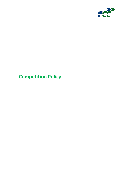

# **Competition Policy**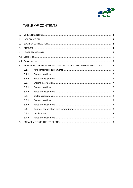

## TABLE OF CONTENTS

| $\Omega$ .     |                                                                      |  |  |
|----------------|----------------------------------------------------------------------|--|--|
| $\mathbf{1}$ . |                                                                      |  |  |
| 2.             |                                                                      |  |  |
| 3.             |                                                                      |  |  |
| $\mathbf{4}$ . |                                                                      |  |  |
| 4.1            |                                                                      |  |  |
| 4.2            |                                                                      |  |  |
| 5.             | PRINCIPLES OF BEHAVIOUR IN CONTACTS OR RELATIONS WITH COMPETITORS  6 |  |  |
|                | 5.1.                                                                 |  |  |
|                | 5.1.1.                                                               |  |  |
|                | 5.1.2.                                                               |  |  |
|                | 5.2.                                                                 |  |  |
|                | 5.2.1.                                                               |  |  |
|                | 5.2.2.                                                               |  |  |
|                | 5.3.                                                                 |  |  |
|                | 5.3.1.                                                               |  |  |
|                | 5.3.2.                                                               |  |  |
|                | 5.4.                                                                 |  |  |
|                | 5.4.1.                                                               |  |  |
|                | 5.4.2.                                                               |  |  |
| 6.             |                                                                      |  |  |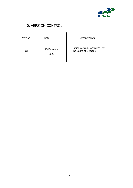

## 0. VERSION CONTROL

<span id="page-2-0"></span>

| Version | Date                | Amendments                                              |
|---------|---------------------|---------------------------------------------------------|
| 01      | 23 February<br>2022 | Initial version. Approved by<br>the Board of Directors. |
|         |                     |                                                         |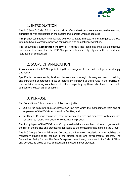

### 1. INTRODUCTION

<span id="page-3-0"></span>The FCC Group's Code of Ethics and Conduct reflects the Group's commitment to the rules and principles of free competition in the sectors and markets where it operates.

This priority commitment is compatible with our strategic interests, one that requires the FCC Group to have a corporate policy on compliance with competition legislation.

This document ("**Competition Policy**" or "**Policy**") has been designed as an effective instrument to ensure that the FCC Group's activities are fully aligned with the pertinent legislation on competition.

### 2. SCOPE OF APPLICATION

<span id="page-3-1"></span>All companies in the FCC Group, including their management team and employees, must apply this Policy.

Specifically, the commercial, business development, strategic planning and control, bidding and purchasing departments must be particularly sensitive to these rules in the exercise of their activity, ensuring compliance with them, especially by those who have contact with competitors, customers or suppliers.

### 3. PURPOSE

<span id="page-3-2"></span>The Competition Policy pursues the following objectives:

- Outline the basic principles of competition law with which the management team and all employees of the FCC Group should be familiar; and
- Facilitate FCC Group companies, their management teams and employees with guidelines for action to forestall violations of competition legislation.

This Policy is part of the FCC Group's Compliance Model and must be considered together with the rest of the policies and procedures applicable to the companies that make up the Group.

The FCC Group's Code of Ethics and Conduct is the framework regulation that establishes the mandatory guidelines for conduct in the ethical, social and environmental spheres. The Competition Policy furthers the Group's express commitment, contained in its Code of Ethics and Conduct, to abide by free competition and good market practices.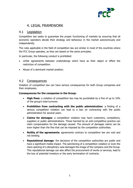

### 4. LEGAL FRAMEWORK

#### <span id="page-4-1"></span><span id="page-4-0"></span> $4.1$ Legislation

Competition law seeks to guarantee the proper functioning of markets by ensuring that all economic operators decide their strategy and behaviour in the market autonomously and independently.

The rules applicable in the field of competition law are similar in most of the countries where the FCC Group operates, as they are based on the same principles.

In particular, the following conduct is prohibited:

- Unfair agreements between undertakings which have as their object or effect the restriction of competition.
- Abuse of a dominant market position.

#### <span id="page-4-2"></span> $4.2$ **Consequences**

Violation of competition law can have serious consequences for both Group companies and their employees.

#### **Consequences for the companies in the Group:**

- **High fines**: a violation of competition law may be punishable by a fine of up to 10% of the group's total turnover.
- **Prohibition from contracting with the public administration**: a finding of a serious competition violation can lead to a ban on contracting with the public administration for several years.
- **Claims for damages**: a competition violation may harm customers, competitors, suppliers or public administrations. Those harmed by an anti-competitive practice can claim compensation for the damage caused. The amount of damages claims can be even higher than the fine that can be imposed by the competition authorities.
- **Nullity of the agreements:** agreements contrary to competition law are void and not binding.
- **Reputational damage**: the decisions of the competition authorities are public and have a significant media impact. The sanctioning of a competition violation or even the mere opening of a disciplinary case damages the image of the company and the Group. This reputational damage can also affect the procurement of works or services, lead to the loss of potential investors or the early termination of contracts.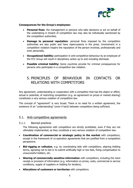

#### **Consequences for the Group's employees:**

- **Personal fines**: the management or persons who take decisions or act on behalf of the undertaking in breach of competition law may also be individually sanctioned by the competition authorities.
- **Damage to personal reputation**: personal fines imposed by the competition authorities are also public and have repercussions in the press. Involvement in a competition violation impairs the reputation of the person involved, professionally and even personally.
- **Occupational liability:** participation in anti-competitive behaviour by an employee of the FCC Group will result in disciplinary action up to and including dismissal.
- **Possible criminal liability:** Some countries provide for criminal consequences for persons who participate in a competition law violation.

### <span id="page-5-0"></span>5. PRINCIPLES OF BEHAVIOUR IN CONTACTS OR RELATIONS WITH COMPETITORS

Any agreement, understanding or cooperation with a competitor that has the object or effect, actual or potential, of restricting competition (e.g. an agreement on prices or market sharing) constitutes a very serious violation of competition law.

The concept of "agreement" is very broad. There is no need for a written agreement, the existence of an "understanding" (even if tacit) between competitors being sufficient.

#### <span id="page-5-1"></span>5.1. Anti-competitive agreements

#### <span id="page-5-2"></span>5.1.1. Banned practices

The following agreements with competitors are strictly prohibited, even if they are not ultimately implemented, as they constitute a very serious violation of competition law:

- **Coordination of commercial or strategic policy in the market** with competitors, except in the framework of co-operation agreements that are justified from a competition perspective.
- **Bid-rigging or collusion**, e.g. by coordinating bids with competitors, aligning bidding terms, agreeing not to bid or to submit artificially high or low bids, fixing compensation to unsuccessful bidders, etc.
- **Sharing of commercially sensitive information** with competitors, including the mere receipt or provision of information (e.g. information on prices, costs, commercial or service conditions, supply of suppliers or bidding for tenders).
- **Allocations of customers or territories** with competitors.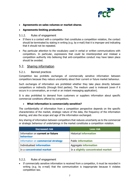

- **Agreements on sales volumes or market shares**.
- **Agreements limiting production**.

#### <span id="page-6-0"></span>5.1.2. Rules of engagement

- If there is a contact with a competitor that constitutes a competition violation, the contact should be terminated by stating in writing (e.g. by e-mail) that it is improper and indicating that it should not be repeated.
- Pay particular attention to the vocabulary used in verbal or written communications with competitors. In particular, expressions that could be misinterpreted and mislead a competition authority into believing that anti-competitive conduct may have taken place should be avoided.

### <span id="page-6-1"></span>5.2. Sharing information

#### <span id="page-6-2"></span>5.2.1. Banned practices

Competition law prohibits exchanges of commercially sensitive information between competitors because they reduce uncertainty about their current or future market behaviour.

Such exchanges of information are prohibited whether they take place directly between competitors or indirectly (through third parties). The medium used is irrelevant (even if it occurs in a conversation, an e-mail or an instant messaging application).

It is also prohibited to demand from customers or suppliers information about specific commercial conditions offered by competitors.

#### • **What information is commercially sensitive?**

The confidentiality of information from a competition perspective depends on the specific characteristics of the market, strategic nature of the data, the frequency of the information sharing, and also the scope and age of the information exchanged.

Any sharing of information between competitors that reduces uncertainty as to the commercial or strategic behaviour of undertakings in the market constitutes a competition violation.

| <b>Increased risk</b>                                | <b>Less risk</b>                  |
|------------------------------------------------------|-----------------------------------|
| Information on current or future<br><b>behaviour</b> | <b>Historical information</b>     |
| Information on commercial strategy                   | <b>Public information</b>         |
| Individualised information                           | Aggregate <b>information</b>      |
| In a concentrated market                             | In a slightly concentrated market |

#### <span id="page-6-3"></span>5.2.2. Rules of engagement

If commercially sensitive information is received from a competitor, it must be recorded in writing (e.g. by e-mail) that the communication is inappropriate because it violates competition law.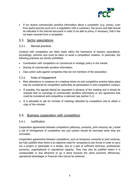

• If we receive commercially sensitive information about a competitor (e.g. prices), even from lawful sources (such as in a negotiation with a customer), the source and date should be indicated in the internal document in order to be able to prove, if necessary, that it has not been received from a competitor.

### <span id="page-7-0"></span>5.3. Sector associations

#### <span id="page-7-1"></span>5.3.1. Banned practices

Contacts with competitors are often made within the framework of industry associations. Accordingly, extreme care must be taken to avoid a competition violation. In particular, the following practices are strictly prohibited:

- Coordination with competitors on commercial or strategic policy in the market.
- Sharing of commercially sensitive information.
- Class action suits against companies that are not members of the association.

#### <span id="page-7-2"></span>5.3.2. Rules of engagement

- Mere attendance or presence at a meeting where an anti-competitive practice takes place may be considered by competition authorities as participation in anti-competitive conduct.
- If possible, the agenda should be requested in advance of the meeting and it should be checked that no exchange of commercially sensitive information or any agreement that could be considered anti-competitive is planned (see section 5.1).
- It is advisable to ask for minutes of meetings attended by competitors and to obtain a copy of the minutes.

### <span id="page-7-3"></span>5.4. Business cooperation with competitors

#### <span id="page-7-4"></span>5.4.1. Justification

Cooperation agreements between competitors (alliances, consortia, joint ventures, etc.) entail a risk of infringement of competition law and caution should be exercised when they are concluded.

Cooperation agreements between competitors, such as temporary consortia or joint ventures, are fully justified when there is an objective need for companies to join forces in order to carry out a project or participate in a tender, due to a lack of sufficient technical, professional, economic, organisational or operational capacity. They may also be justified where it is unreasonable or less attractive to go it alone because the same economic efficiencies, operational advantages or financial risks cannot be achieved.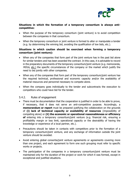

#### **Situations in which the formation of a temporary consortium is always anticompetitive:**

- When the purpose of the temporary consortium (joint venture) is to avoid competition between the companies in that consortium.
- When the temporary consortium or joint venture is formed to alter or manipulate a tender (e.g. by determining the winning bid, avoiding the qualification of low bids, etc.).

#### **Situations in which caution should be exercised when forming a temporary consortium (joint venture):**

- When any of the companies that form part of the joint venture has in the past bid alone for similar tenders and has been awarded the contract. In this case, it is advisable to record in the preparatory documents of the temporary consortium/joint venture (e.g. memoranda, MOUs, etc.) the specific circumstances of the company or the market which justify the need to bid jointly with other companies.
- When any of the companies that form part of the temporary consortium/joint venture has the required technical, professional and economic capacity and/or the availability of material resources and personnel necessary to compete alone.
- When the company goes individually to the tender and subcontracts the execution to competitors who could have bid for the tender.

#### <span id="page-8-0"></span>5.4.2. Rules of engagement

- There must be documentation that the cooperation is justified in order to be able to prove, if necessary, that it does not serve an anti-competitive purpose. Accordingly, a **memorandum or report** must be prepared justifying the collaboration on the grounds of **(i) lack of technical capacity or availability of resources** (impossibility of competing alone) or **(ii) the economic or operational reasonableness or efficiency of** entering into a temporary consortium/joint venture (e.g. financial risk, ensuring a profitability margin or loss limit, operational capacity or the desirability of having the knowledge or experience of a local partner, etc.).
- Precautions should be taken in contacts with competitors prior to the formation of a temporary consortium/joint venture, and any exchange of information outside the joint venture should be avoided.
- Avoid entering global consortia/joint venture agreements or agreements covering more than one project, and each agreement to form one such grouping must refer to specific works or projects.
- The participation of the companies in a temporary consortium/joint venture must be maintained only for the duration of the project or work for which it was formed, except in exceptional and justified situations.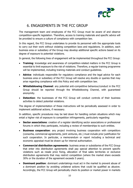

### 6. ENGAGEMENTS IN THE FCC GROUP

<span id="page-9-0"></span>The management team and employees of the FCC Group must be aware of and observe competition-specific legislation. Therefore, access to training materials and specific advice will be provided to ensure a culture of compliance with competition law.

In this regard, the FCC Group undertakes to provide its personnel with the appropriate tools to carry out their work without violating competition laws and regulations. In addition, each business area or subsidiary of the Group may develop additional specific actions based on its degree of exposure to potential violations.

In general, the following lines of engagement will be implemented throughout the FCC Group:

- **Training**: knowledge and awareness of competition-related matters in the FCC Group is essential to limit exposure to the risk of violations. Therefore, a regular training programme will be implemented, including training materials and conduct guidelines.
- **Advice**: individuals responsible for regulatory compliance and the legal advice for each business area or subsidiary of the FCC Group will resolve any doubts or queries that may arise regarding compliance with this Policy and with competition law.
- **Whistleblowing Channel**: any potential anti-competitive behaviour/conduct in the FCC Group should be reported through the Whistleblowing Channel, with guaranteed anonymity.
- **Detection**: the businesses of the FCC Group will conduct controls of their business activities to detect potential violations.

The degree of implementation of these instructions will be periodically assessed in order to implement additional actions, if necessary.

In addition, specific procedures may be laid down for handling certain situations which may entail a higher risk of exposure to competition infringements, particularly regarding:

- **Sector associations:** creation of a register identifying sector associations or professional forums in which they participate, including a review of memberships to such entities.
- **Business cooperation**: any project involving business cooperation with competitors (consortia, commercial agreements, joint ventures, etc.) must include prior justification for such cooperation. In particular, a memorandum or report including a technical and economic appraisal must be drawn up for internal authorisation.
- **Commercial distribution agreements**: business areas or subsidiaries of the FCC Group that enter into distribution agreements shall pay special attention to prevent specific violations such as resale price fixing, allocation of final sales territories or exclusive distribution agreements that may restrict competition (where the market share exceeds 30% or the duration of the agreement exceeds 5 years).
- **Dominant position**: dominant undertakings must act in the market to prevent abuse of a dominant position by avoiding unilateral actions that could be qualified as abusive. Accordingly, the FCC Group will periodically check its position or market power in markets